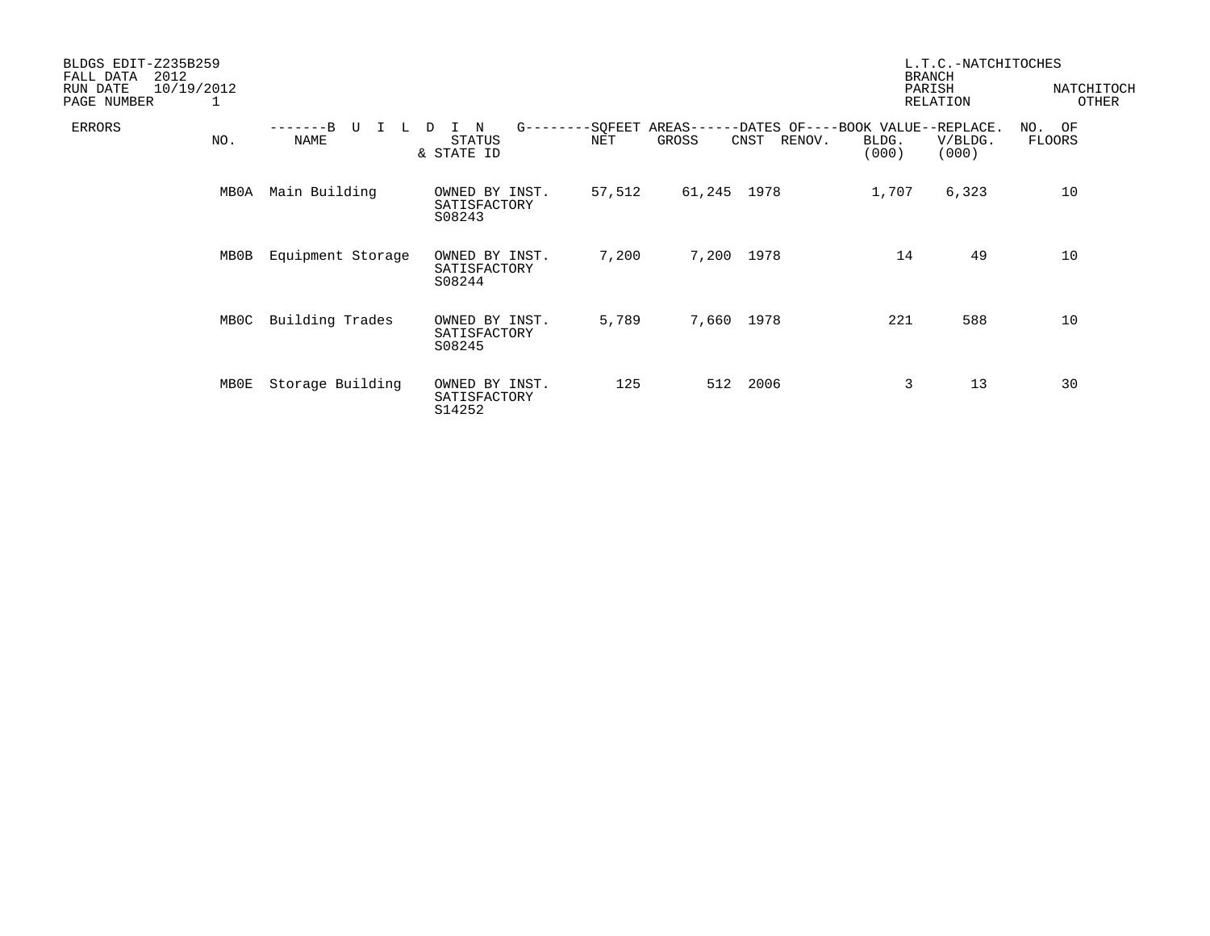| BLDGS EDIT-Z235B259<br>2012<br>FALL DATA<br>10/19/2012<br>RUN DATE<br>PAGE NUMBER | 1    |                      |                                          |        |             |                                                                    | PARISH         | L.T.C.-NATCHITOCHES<br><b>BRANCH</b><br>RELATION | NATCHITOCH<br>OTHER     |
|-----------------------------------------------------------------------------------|------|----------------------|------------------------------------------|--------|-------------|--------------------------------------------------------------------|----------------|--------------------------------------------------|-------------------------|
| <b>ERRORS</b>                                                                     | NO.  | $---B$<br>TT<br>NAME | $G$ ------<br>N<br>STATUS<br>& STATE ID  | NET    | GROSS       | -SQFEET AREAS------DATES OF----BOOK VALUE--REPLACE.<br>CNST RENOV. | BLDG.<br>(000) | V/BLDG.<br>(000)                                 | NO. OF<br><b>FLOORS</b> |
|                                                                                   | MB0A | Main Building        | OWNED BY INST.<br>SATISFACTORY<br>S08243 | 57,512 | 61,245 1978 |                                                                    | 1,707          | 6,323                                            | 10                      |
|                                                                                   | MB0B | Equipment Storage    | OWNED BY INST.<br>SATISFACTORY<br>S08244 | 7,200  | 7,200 1978  |                                                                    | 14             | 49                                               | 10                      |
|                                                                                   | MB0C | Building Trades      | OWNED BY INST.<br>SATISFACTORY<br>S08245 | 5,789  | 7,660 1978  |                                                                    | 221            | 588                                              | 10                      |
|                                                                                   | MB0E | Storage Building     | OWNED BY INST.<br>SATISFACTORY<br>S14252 | 125    | 512         | 2006                                                               | 3              | 13                                               | 30                      |